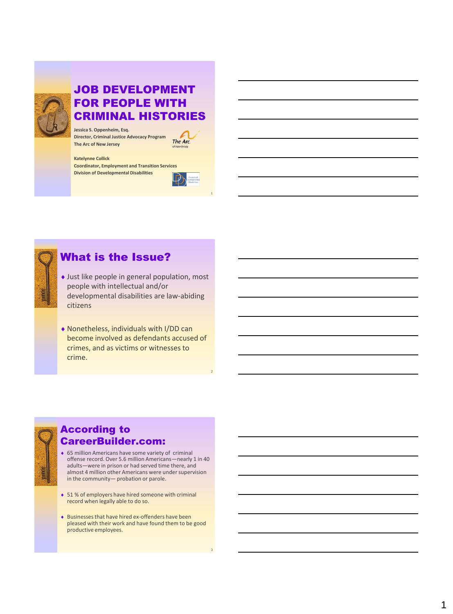

#### JOB DEVELOPMENT FOR PEOPLE WITH CRIMINAL HISTORIES

**Jessica S. Oppenheim, Esq. Director, Criminal Justice Advocacy Program The Arc of New Jersey**

The Arc.

#### **Katelynne Collick**

**Coordinator, Employment and Transition Services Division of Developmental Disabilities**



1



#### What is the Issue?

- Just like people in general population, most people with intellectual and/or developmental disabilities are law-abiding citizens
- Nonetheless, individuals with I/DD can become involved as defendants accused of crimes, and as victims or witnesses to crime.



#### According to CareerBuilder.com:

- 65 million Americans have some variety of criminal offense record. Over 5.6 million Americans—nearly 1 in 40 adults—were in prison or had served time there, and almost 4 million other Americans were under supervision in the community— probation or parole.
- ◆ 51 % of employers have hired someone with criminal record when legally able to do so.
- $\bullet$  Businesses that have hired ex-offenders have been pleased with their work and have found them to be good productive employees.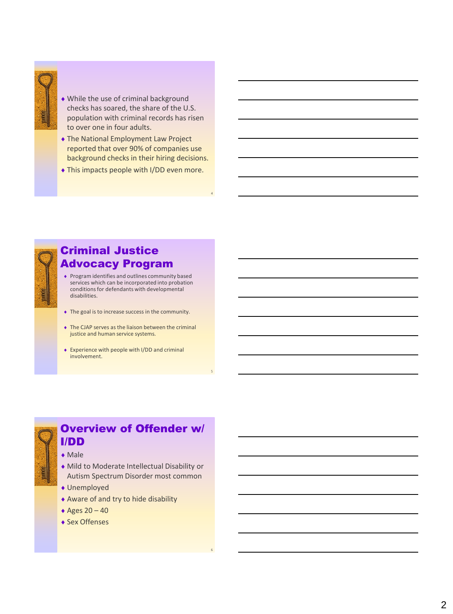

- While the use of criminal background checks has soared, the share of the U.S. population with criminal records has risen to over one in four adults.
- The National Employment Law Project reported that over 90% of companies use background checks in their hiring decisions.
- This impacts people with I/DD even more.

4

5

6



### Criminal Justice Advocacy Program

- Program identifies and outlines community based services which can be incorporated into probation conditions for defendants with developmental disabilities.
- The goal is to increase success in the community.
- The CJAP serves as the liaison between the criminal justice and human service systems.
- Experience with people with I/DD and criminal involvement.



## Overview of Offender w/ I/DD

◆ Male



- Unemployed
- Aware of and try to hide disability
- Ages 20 40
- ◆ Sex Offenses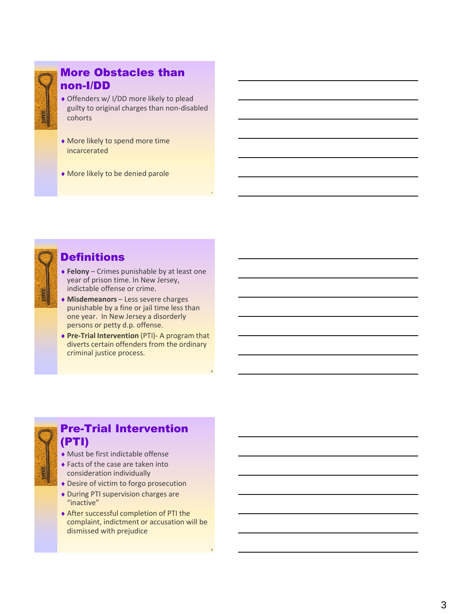

#### More Obstacles than non -I/DD

- Offenders w/ I/DD more likely to plead guilty to original charges than non -disabled cohorts
- More likely to spend more time incarcerated
- More likely to be denied parole



#### **Definitions**

 **Felony** – Crimes punishable by at least one year of prison time. In New Jersey, indictable offense or crime.

7

8

9

- **Misdemeanors** Less severe charges punishable by a fine or jail time less than one year. In New Jersey a disorderly persons or petty d.p. offense.
- ◆ Pre-Trial Intervention (PTI) A program that diverts certain offenders from the ordinary criminal justice process.



### Pre -Trial Intervention (PTI)

- Must be first indictable offense
- ◆ Facts of the case are taken into consideration individually
- Desire of victim to forgo prosecution
- During PTI supervision charges are "inactive"
- After successful completion of PTI the complaint, indictment or accusation will be dismissed with prejudice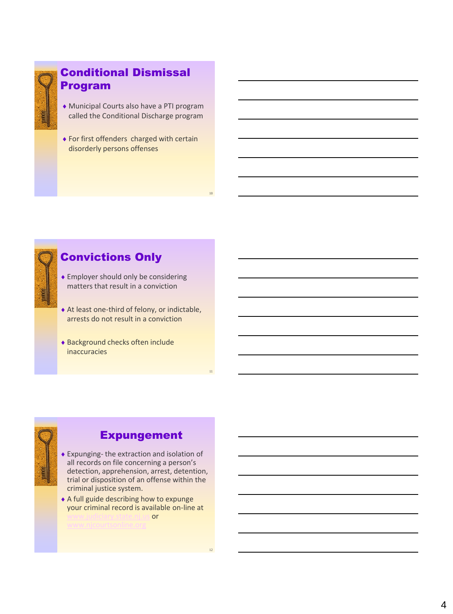

#### Conditional Dismissal Program

- Municipal Courts also have a PTI program called the Conditional Discharge program
- ◆ For first offenders charged with certain disorderly persons offenses



#### Convictions Only

- Employer should only be considering matters that result in a conviction
- At least one-third of felony, or indictable, arrests do not result in a conviction
- Background checks often include inaccuracies



#### Expungement

- Expunging- the extraction and isolation of all records on file concerning a person's detection, apprehension, arrest, detention, trial or disposition of an offense within the criminal justice system.
- A full guide describing how to expunge your criminal record is available on-line at<br>www.judicians.tate.nt.us or [www.judiciary.state.nj.us](http://www.judiciary.state.nj.us/) or

10

11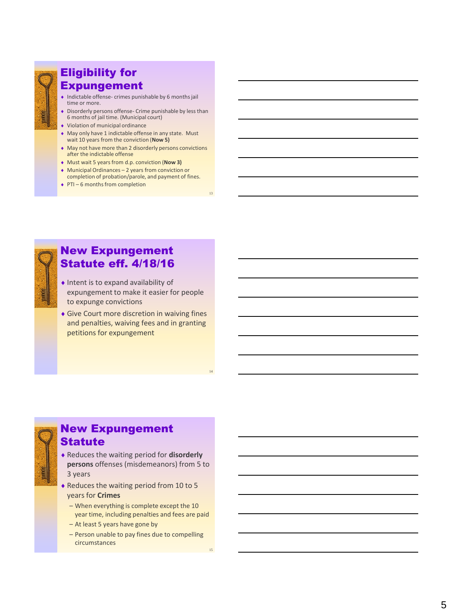

#### Eligibility for Expungement

- Indictable offense- crimes punishable by 6 months jail time or more.
- Disorderly persons offense Crime punishable by less than 6 months of jail time. (Municipal court)
- Violation of municipal ordinance
- May only have 1 indictable offense in any state. Must wait 10 years from the conviction (**Now 5)**
- May not have more than 2 disorderly persons convictions after the indictable offense
- Must wait 5 years from d.p. conviction (**Now 3)**
- Municipal Ordinances 2 years from conviction or completion of probation/parole, and payment of fines.

13

14

15

◆ PTI – 6 months from completion



#### New Expungement Statute eff. 4/18/16

- Intent is to expand availability of expungement to make it easier for people to expunge convictions
- Give Court more discretion in waiving fines and penalties, waiving fees and in granting petitions for expungement



#### New Expungement Statute

- Reduces the waiting period for **disorderly persons** offenses (misdemeanors) from 5 to 3 years
- Reduces the waiting period from 10 to 5 years for **Crimes**
	- When everything is complete except the 10 year time, including penalties and fees are paid
	- At least 5 years have gone by
	- Person unable to pay fines due to compelling circumstances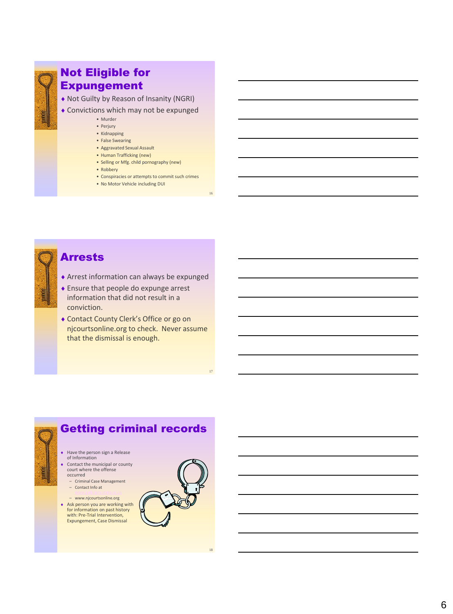

#### Not Eligible for Expungement

Not Guilty by Reason of Insanity (NGRI)

- Convictions which may not be expunged
	- Murder
	- Perjury
	- Kidnapping • False Swearing
	- Aggravated Sexual Assault
	- Human Trafficking (new)
	- Selling or Mfg. child pornography (new)
	- Robbery
	- Conspiracies or attempts to commit such crimes

16

17

• No Motor Vehicle including DUI



#### Arrests

- Arrest information can always be expunged
- ◆ Ensure that people do expunge arrest information that did not result in a conviction.
- Contact County Clerk's Office or go on njcourtsonline.org to check. Never assume that the dismissal is enough.



– www.njcourtsonline.org Ask person you are working with for information on past history with: Pre-Trial Intervention,<br>Expungement, Case Dismissal

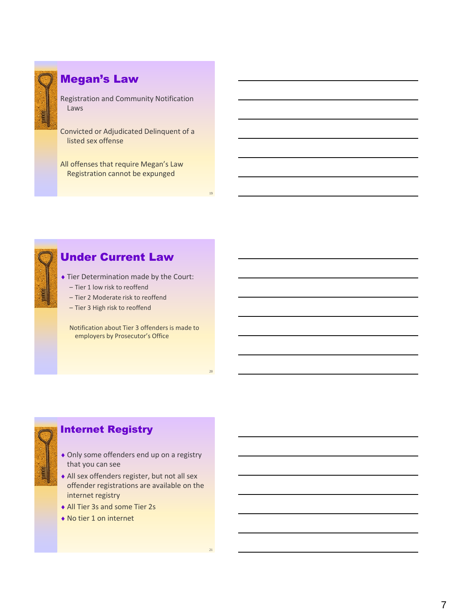

#### Megan's Law

Registration and Community Notification Laws

Convicted or Adjudicated Delinquent of a listed sex offense

All offenses that require Megan's Law Registration cannot be expunged



#### Under Current Law

 Tier Determination made by the Court: – Tier 1 low risk to reoffend

- Tier 2 Moderate risk to reoffend
- Tier 3 High risk to reoffend

Notification about Tier 3 offenders is made to employers by Prosecutor's Office



- Only some offenders end up on a registry that you can see
- All sex offenders register, but not all sex offender registrations are available on the internet registry
- All Tier 3s and some Tier 2s
- No tier 1 on internet

19

20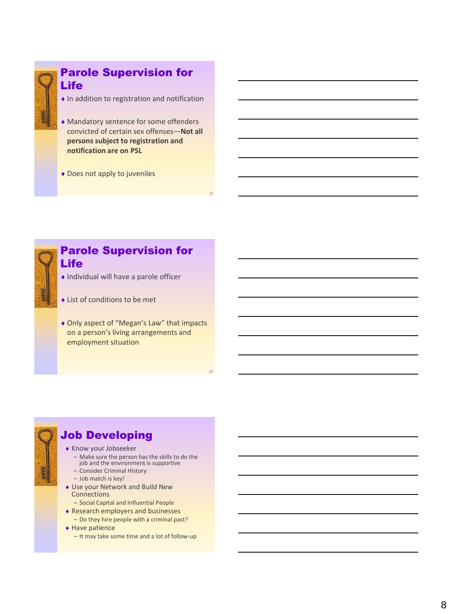

#### Parole Supervision for Life

- $\bullet$  In addition to registration and notification
- Mandatory sentence for some offenders convicted of certain sex offenses—**Not all persons subject to registration and notification are on PSL**
- Does not apply to juveniles



#### Parole Supervision for Life

- Individual will have a parole officer
- List of conditions to be met
- ◆ Only aspect of "Megan's Law" that impacts on a person's living arrangements and employment situation

23

## Job Developing

- Know your Jobseeker
	- Make sure the person has the skills to do the job and the environment is supportive
	- Consider Criminal History
	- Job match is key!
- Use your Network and Build New **Connections** 
	- Social Capital and Influential People
- Research employers and businesses – Do they hire people with a criminal past?
- ◆ Have patience
	- It may take some time and a lot of follow-up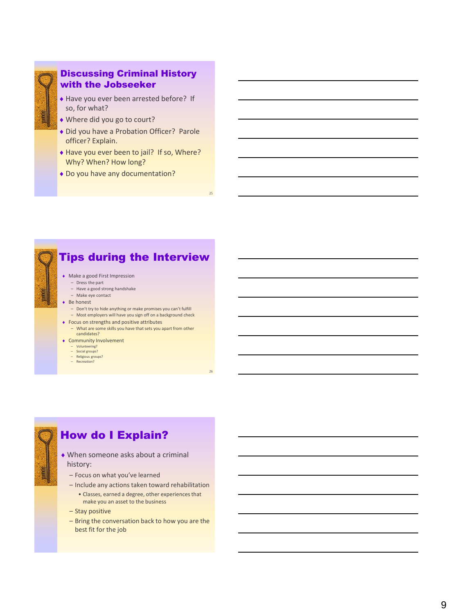

#### Discussing Criminal History with the Jobseeker

- ◆ Have you ever been arrested before? If so, for what?
- Where did you go to court?
- Did you have a Probation Officer? Parole officer? Explain.
- ◆ Have you ever been to jail? If so, Where? Why? When? How long?
- Do you have any documentation?



## Tips during the Interview

25

26

- Make a good First Impression
	- Dress the part – Have a good strong handshake
	- Make eye contact
- ◆ Be honest
	- Don't try to hide anything or make promises you can't fulfill
	- Most employers will have you sign off on a background check
- Focus on strengths and positive attributes
- What are some skills you have that sets you apart from other candidates? Community Involvement
	-
	- Volunteering? Social groups?
	- Religious groups?
	- Recreation?

#### How do I Explain?

- When someone asks about a criminal history:
	- Focus on what you've learned
	- Include any actions taken toward rehabilitation
		- Classes, earned a degree, other experiences that make you an asset to the business
	- Stay positive
	- Bring the conversation back to how you are the best fit for the job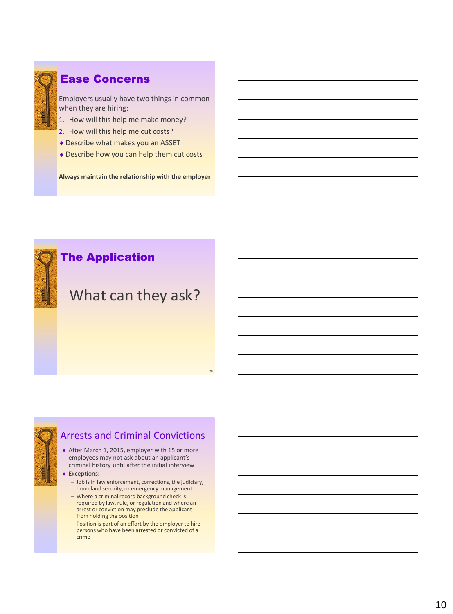

#### Ease Concerns

Employers usually have two things in common when they are hiring:

- 1. How will this help me make money?
- 2. How will this help me cut costs?
- Describe what makes you an ASSET
- Describe how you can help them cut costs

**Always maintain the relationship with the employer**

### The Application

# What can they ask?

29



#### Arrests and Criminal Convictions

- ◆ After March 1, 2015, employer with 15 or more employees may not ask about an applicant's criminal history until after the initial interview
- **Exceptions:** 
	- Job is in law enforcement, corrections, the judiciary, homeland security, or emergency management
	- Where a criminal record background check is required by law, rule, or regulation and where an arrest or conviction may preclude the applicant from holding the position
	- Position is part of an effort by the employer to hire persons who have been arrested or convicted of a crime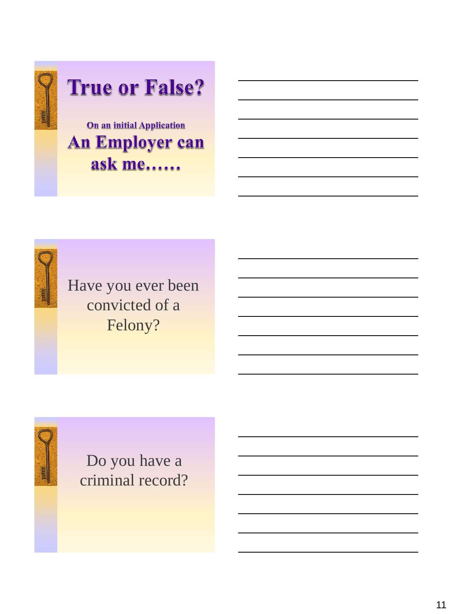





Do you have a criminal record?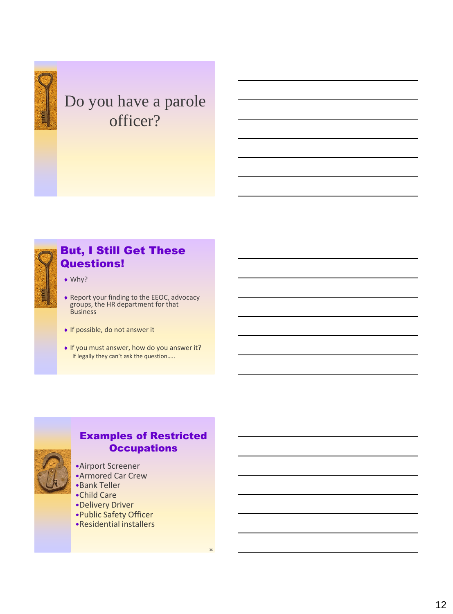

# Do you have a parole officer?



#### But, I Still Get These Questions!

- ◆ Why?
- Report your finding to the EEOC, advocacy groups, the HR department for that **Business**
- ◆ If possible, do not answer it
- ◆ If you must answer, how do you answer it? If legally they can't ask the question…..



#### Examples of Restricted **Occupations**

- •Airport Screener
- •Armored Car Crew
- •Bank Teller
- •Child Care
- •Delivery Driver
- •Public Safety Officer
- •Residential installers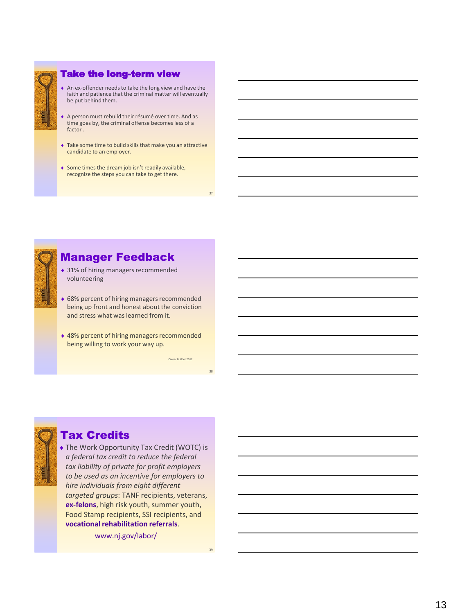

#### Take the long-term view

- An ex-offender needs to take the long view and have the faith and patience that the criminal matter will eventually be put behind them.
- A person must rebuild their résumé over time. And as time goes by, the criminal offense becomes less of a factor .
- Take some time to build skills that make you an attractive candidate to an employer.
- $\bullet$  Some times the dream job isn't readily available, recognize the steps you can take to get there.



#### Manager Feedback

- ◆ 31% of hiring managers recommended volunteering
- ◆ 68% percent of hiring managers recommended being up front and honest about the conviction and stress what was learned from it.
- ◆ 48% percent of hiring managers recommended being willing to work your way up.

#### Tax Credits

 The Work Opportunity Tax Credit (WOTC) is *a federal tax credit to reduce the federal tax liability of private for profit employers to be used as an incentive for employers to hire individuals from eight different targeted groups*: TANF recipients, veterans, **ex-felons**, high risk youth, summer youth, Food Stamp recipients, SSI recipients, and **vocational rehabilitation referrals**.

www.nj.gov/labor/

37

38

Career Builder 2012